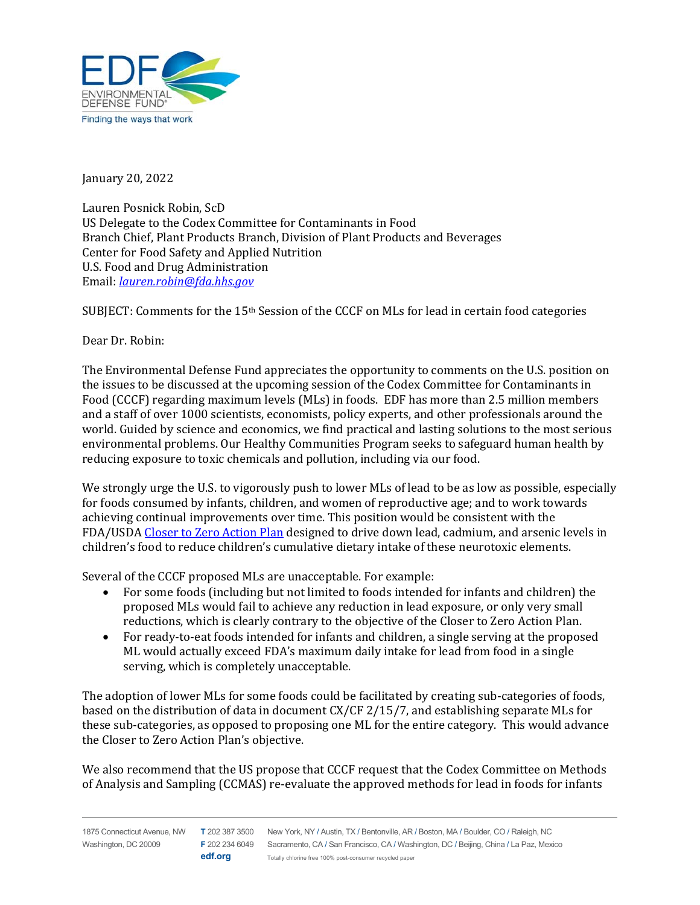

January 20, 2022

Lauren Posnick Robin, ScD US Delegate to the Codex Committee for Contaminants in Food Branch Chief, Plant Products Branch, Division of Plant Products and Beverages Center for Food Safety and Applied Nutrition U.S. Food and Drug Administration Email: *lauren.robin@fda.hhs.gov*

SUBJECT: Comments for the 15th Session of the CCCF on MLs for lead in certain food categories

Dear Dr. Robin:

The Environmental Defense Fund appreciates the opportunity to comments on the U.S. position on the issues to be discussed at the upcoming session of the Codex Committee for Contaminants in Food (CCCF) regarding maximum levels (MLs) in foods. EDF has more than 2.5 million members and a staff of over 1000 scientists, economists, policy experts, and other professionals around the world. Guided by science and economics, we find practical and lasting solutions to the most serious environmental problems. Our Healthy Communities Program seeks to safeguard human health by reducing exposure to toxic chemicals and pollution, including via our food.

We strongly urge the U.S. to vigorously push to lower MLs of lead to be as low as possible, especially for foods consumed by infants, children, and women of reproductive age; and to work towards achieving continual improvements over time. This position would be consistent with the FDA/USDA Closer to Zero Action Plan designed to drive down lead, cadmium, and arsenic levels in children's food to reduce children's cumulative dietary intake of these neurotoxic elements.

Several of the CCCF proposed MLs are unacceptable. For example:

- For some foods (including but not limited to foods intended for infants and children) the proposed MLs would fail to achieve any reduction in lead exposure, or only very small reductions, which is clearly contrary to the objective of the Closer to Zero Action Plan.
- For ready-to-eat foods intended for infants and children, a single serving at the proposed ML would actually exceed FDA's maximum daily intake for lead from food in a single serving, which is completely unacceptable.

The adoption of lower MLs for some foods could be facilitated by creating sub-categories of foods, based on the distribution of data in document CX/CF 2/15/7, and establishing separate MLs for these sub-categories, as opposed to proposing one ML for the entire category. This would advance the Closer to Zero Action Plan's objective.

We also recommend that the US propose that CCCF request that the Codex Committee on Methods of Analysis and Sampling (CCMAS) re-evaluate the approved methods for lead in foods for infants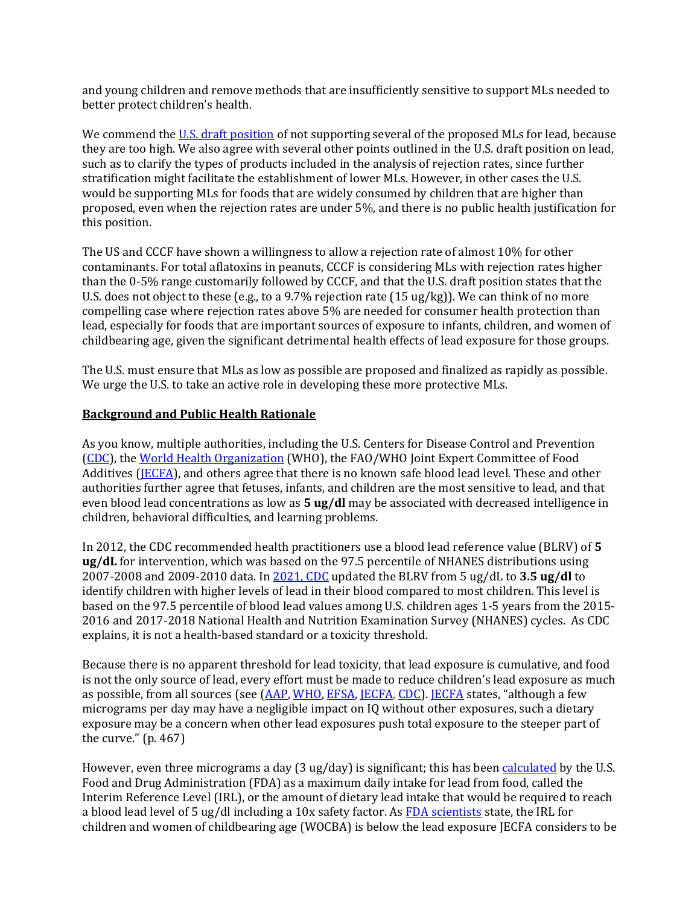and young children and remove methods that are insufficiently sensitive to support MLs needed to better protect children's health.

We commend the U.S. draft position of not supporting several of the proposed MLs for lead, because they are too high. We also agree with several other points outlined in the U.S. draft position on lead, such as to clarify the types of products included in the analysis of rejection rates, since further stratification might facilitate the establishment of lower MLs. However, in other cases the U.S. would be supporting MLs for foods that are widely consumed by children that are higher than proposed, even when the rejection rates are under 5%, and there is no public health justification for this position.

The US and CCCF have shown a willingness to allow a rejection rate of almost 10% for other contaminants. For total aflatoxins in peanuts, CCCF is considering MLs with rejection rates higher than the 0-5% range customarily followed by CCCF, and that the U.S. draft position states that the U.S. does not object to these (e.g., to a 9.7% rejection rate (15 ug/kg)). We can think of no more compelling case where rejection rates above 5% are needed for consumer health protection than lead, especially for foods that are important sources of exposure to infants, children, and women of childbearing age, given the significant detrimental health effects of lead exposure for those groups.

The U.S. must ensure that MLs as low as possible are proposed and finalized as rapidly as possible. We urge the U.S. to take an active role in developing these more protective MLs.

## **Background** and Public Health Rationale

As you know, multiple authorities, including the U.S. Centers for Disease Control and Prevention (CDC), the World Health Organization (WHO), the FAO/WHO Joint Expert Committee of Food Additives (JECFA), and others agree that there is no known safe blood lead level. These and other authorities further agree that fetuses, infants, and children are the most sensitive to lead, and that even blood lead concentrations as low as **5 ug/dl** may be associated with decreased intelligence in children, behavioral difficulties, and learning problems.

In 2012, the CDC recommended health practitioners use a blood lead reference value (BLRV) of **5 ug/dL** for intervention, which was based on the 97.5 percentile of NHANES distributions using 2007-2008 and 2009-2010 data. In 2021, CDC updated the BLRV from 5 ug/dL to **3.5 ug/dl** to identify children with higher levels of lead in their blood compared to most children. This level is based on the 97.5 percentile of blood lead values among U.S. children ages 1-5 years from the 2015- 2016 and 2017-2018 National Health and Nutrition Examination Survey (NHANES) cycles. As CDC explains, it is not a health-based standard or a toxicity threshold.

Because there is no apparent threshold for lead toxicity, that lead exposure is cumulative, and food is not the only source of lead, every effort must be made to reduce children's lead exposure as much as possible, from all sources (see (AAP, WHO, EFSA, JECFA, CDC). JECFA states, "although a few micrograms per day may have a negligible impact on IQ without other exposures, such a dietary exposure may be a concern when other lead exposures push total exposure to the steeper part of the curve." (p. 467)

However, even three micrograms a day (3 ug/day) is significant; this has been calculated by the U.S. Food and Drug Administration (FDA) as a maximum daily intake for lead from food, called the Interim Reference Level (IRL), or the amount of dietary lead intake that would be required to reach a blood lead level of 5 ug/dl including a 10x safety factor. As FDA scientists state, the IRL for children and women of childbearing age (WOCBA) is below the lead exposure JECFA considers to be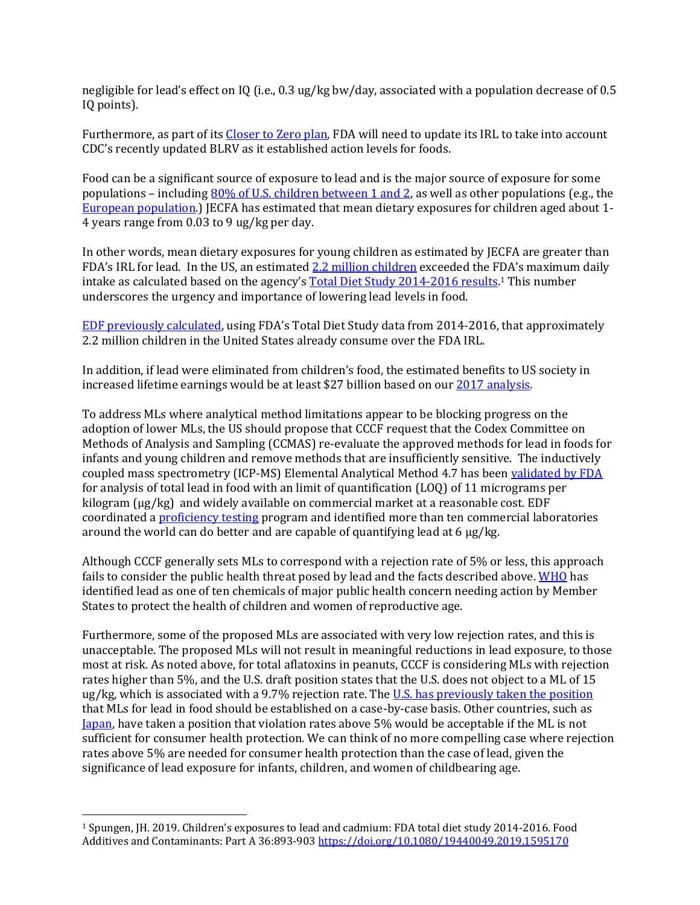negligible for lead's effect on IQ (i.e., 0.3 ug/kg bw/day, associated with a population decrease of 0.5 IQ points).

Furthermore, as part of its Closer to Zero plan, FDA will need to update its IRL to take into account CDC's recently updated BLRV as it established action levels for foods.

Food can be a significant source of exposure to lead and is the major source of exposure for some populations – including 80% of U.S. children between 1 and 2, as well as other populations (e.g., the European population.) JECFA has estimated that mean dietary exposures for children aged about 1- 4 years range from 0.03 to 9 ug/kg per day.

In other words, mean dietary exposures for young children as estimated by JECFA are greater than FDA's IRL for lead. In the US, an estimated 2.2 million children exceeded the FDA's maximum daily intake as calculated based on the agency's Total Diet Study 2014-2016 results.<sup>1</sup> This number underscores the urgency and importance of lowering lead levels in food.

EDF previously calculated, using FDA's Total Diet Study data from 2014-2016, that approximately 2.2 million children in the United States already consume over the FDA IRL.

In addition, if lead were eliminated from children's food, the estimated benefits to US society in increased lifetime earnings would be at least \$27 billion based on our 2017 analysis.

To address MLs where analytical method limitations appear to be blocking progress on the adoption of lower MLs, the US should propose that CCCF request that the Codex Committee on Methods of Analysis and Sampling (CCMAS) re-evaluate the approved methods for lead in foods for infants and young children and remove methods that are insufficiently sensitive. The inductively coupled mass spectrometry (ICP-MS) Elemental Analytical Method 4.7 has been validated by FDA for analysis of total lead in food with an limit of quantification (LOQ) of 11 micrograms per kilogram (µg/kg) and widely available on commercial market at a reasonable cost. EDF coordinated a proficiency testing program and identified more than ten commercial laboratories around the world can do better and are capable of quantifying lead at 6 µg/kg.

Although CCCF generally sets MLs to correspond with a rejection rate of 5% or less, this approach fails to consider the public health threat posed by lead and the facts described above. WHO has identified lead as one of ten chemicals of major public health concern needing action by Member States to protect the health of children and women of reproductive age.

Furthermore, some of the proposed MLs are associated with very low rejection rates, and this is unacceptable. The proposed MLs will not result in meaningful reductions in lead exposure, to those most at risk. As noted above, for total aflatoxins in peanuts, CCCF is considering MLs with rejection rates higher than 5%, and the U.S. draft position states that the U.S. does not object to a ML of 15 ug/kg, which is associated with a 9.7% rejection rate. The U.S. has previously taken the position that MLs for lead in food should be established on a case-by-case basis. Other countries, such as Japan, have taken a position that violation rates above 5% would be acceptable if the ML is not sufficient for consumer health protection. We can think of no more compelling case where rejection rates above 5% are needed for consumer health protection than the case of lead, given the significance of lead exposure for infants, children, and women of childbearing age.

<sup>1</sup> Spungen, JH. 2019. Children's exposures to lead and cadmium: FDA total diet study 2014-2016. Food Additives and Contaminants: Part A 36:893-903 https://doi.org/10.1080/19440049.2019.1595170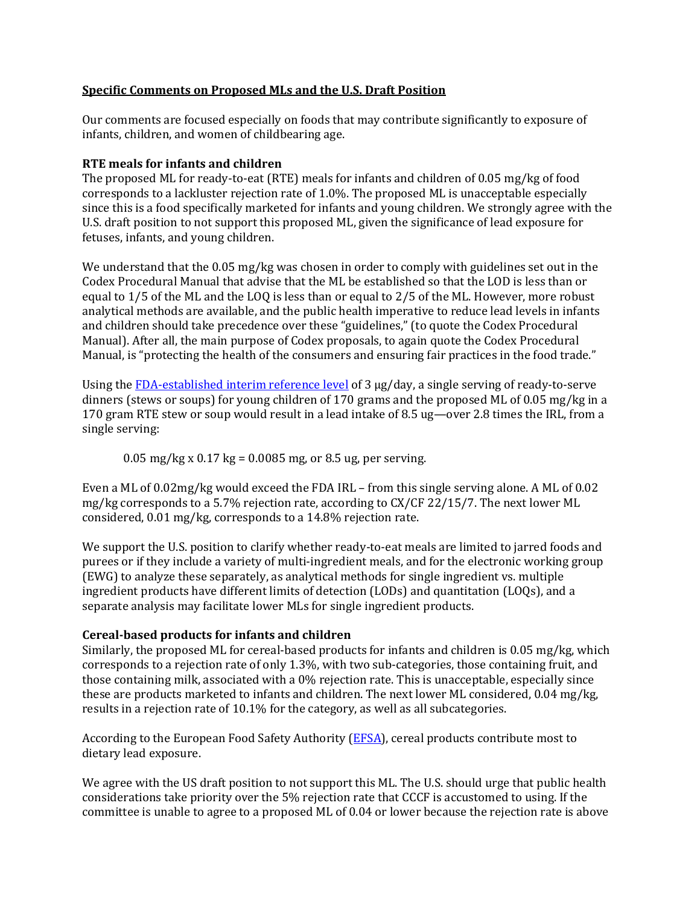# **Specific Comments on Proposed MLs and the U.S. Draft Position**

Our comments are focused especially on foods that may contribute significantly to exposure of infants, children, and women of childbearing age.

## **RTE meals for infants and children**

The proposed ML for ready-to-eat (RTE) meals for infants and children of 0.05 mg/kg of food corresponds to a lackluster rejection rate of 1.0%. The proposed ML is unacceptable especially since this is a food specifically marketed for infants and young children. We strongly agree with the U.S. draft position to not support this proposed ML, given the significance of lead exposure for fetuses, infants, and young children.

We understand that the 0.05 mg/kg was chosen in order to comply with guidelines set out in the Codex Procedural Manual that advise that the ML be established so that the LOD is less than or equal to 1/5 of the ML and the LOQ is less than or equal to 2/5 of the ML. However, more robust analytical methods are available, and the public health imperative to reduce lead levels in infants and children should take precedence over these "guidelines," (to quote the Codex Procedural Manual). After all, the main purpose of Codex proposals, to again quote the Codex Procedural Manual, is "protecting the health of the consumers and ensuring fair practices in the food trade."

Using the FDA-established interim reference level of 3 µg/day, a single serving of ready-to-serve dinners (stews or soups) for young children of 170 grams and the proposed ML of 0.05 mg/kg in a 170 gram RTE stew or soup would result in a lead intake of 8.5 ug—over 2.8 times the IRL, from a single serving:

0.05 mg/kg x 0.17 kg = 0.0085 mg, or 8.5 ug, per serving.

Even a ML of 0.02mg/kg would exceed the FDA IRL – from this single serving alone. A ML of 0.02 mg/kg corresponds to a 5.7% rejection rate, according to CX/CF 22/15/7. The next lower ML considered, 0.01 mg/kg, corresponds to a 14.8% rejection rate.

We support the U.S. position to clarify whether ready-to-eat meals are limited to jarred foods and purees or if they include a variety of multi-ingredient meals, and for the electronic working group (EWG) to analyze these separately, as analytical methods for single ingredient vs. multiple ingredient products have different limits of detection (LODs) and quantitation (LOQs), and a separate analysis may facilitate lower MLs for single ingredient products.

## **Cereal‐based products for infants and children**

Similarly, the proposed ML for cereal-based products for infants and children is 0.05 mg/kg, which corresponds to a rejection rate of only 1.3%, with two sub-categories, those containing fruit, and those containing milk, associated with a 0% rejection rate. This is unacceptable, especially since these are products marketed to infants and children. The next lower ML considered, 0.04 mg/kg, results in a rejection rate of 10.1% for the category, as well as all subcategories.

According to the European Food Safety Authority (EFSA), cereal products contribute most to dietary lead exposure.

We agree with the US draft position to not support this ML. The U.S. should urge that public health considerations take priority over the 5% rejection rate that CCCF is accustomed to using. If the committee is unable to agree to a proposed ML of 0.04 or lower because the rejection rate is above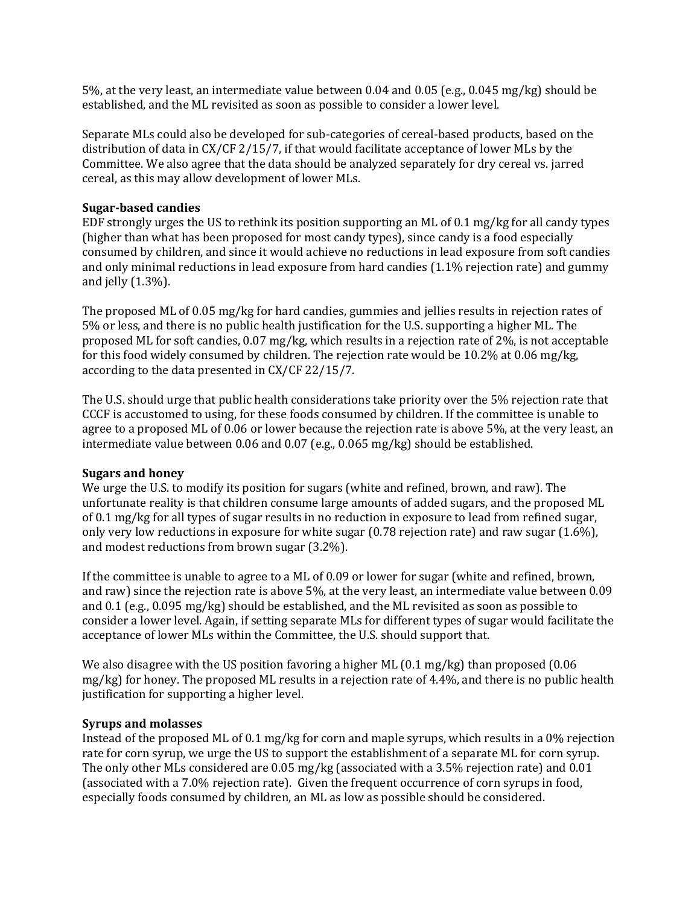5%, at the very least, an intermediate value between 0.04 and 0.05 (e.g., 0.045 mg/kg) should be established, and the ML revisited as soon as possible to consider a lower level.

Separate MLs could also be developed for sub-categories of cereal-based products, based on the distribution of data in CX/CF 2/15/7, if that would facilitate acceptance of lower MLs by the Committee. We also agree that the data should be analyzed separately for dry cereal vs. jarred cereal, as this may allow development of lower MLs.

## **Sugar‐based candies**

EDF strongly urges the US to rethink its position supporting an ML of 0.1 mg/kg for all candy types (higher than what has been proposed for most candy types), since candy is a food especially consumed by children, and since it would achieve no reductions in lead exposure from soft candies and only minimal reductions in lead exposure from hard candies (1.1% rejection rate) and gummy and jelly (1.3%).

The proposed ML of 0.05 mg/kg for hard candies, gummies and jellies results in rejection rates of 5% or less, and there is no public health justification for the U.S. supporting a higher ML. The proposed ML for soft candies, 0.07 mg/kg, which results in a rejection rate of 2%, is not acceptable for this food widely consumed by children. The rejection rate would be 10.2% at 0.06 mg/kg, according to the data presented in CX/CF 22/15/7.

The U.S. should urge that public health considerations take priority over the 5% rejection rate that CCCF is accustomed to using, for these foods consumed by children. If the committee is unable to agree to a proposed ML of 0.06 or lower because the rejection rate is above 5%, at the very least, an intermediate value between 0.06 and 0.07 (e.g., 0.065 mg/kg) should be established.

## **Sugars and honey**

We urge the U.S. to modify its position for sugars (white and refined, brown, and raw). The unfortunate reality is that children consume large amounts of added sugars, and the proposed ML of 0.1 mg/kg for all types of sugar results in no reduction in exposure to lead from refined sugar, only very low reductions in exposure for white sugar (0.78 rejection rate) and raw sugar (1.6%), and modest reductions from brown sugar (3.2%).

If the committee is unable to agree to a ML of 0.09 or lower for sugar (white and refined, brown, and raw) since the rejection rate is above 5%, at the very least, an intermediate value between 0.09 and 0.1 (e.g., 0.095 mg/kg) should be established, and the ML revisited as soon as possible to consider a lower level. Again, if setting separate MLs for different types of sugar would facilitate the acceptance of lower MLs within the Committee, the U.S. should support that.

We also disagree with the US position favoring a higher ML (0.1 mg/kg) than proposed (0.06 mg/kg) for honey. The proposed ML results in a rejection rate of 4.4%, and there is no public health justification for supporting a higher level.

## **Syrups and molasses**

Instead of the proposed ML of 0.1 mg/kg for corn and maple syrups, which results in a 0% rejection rate for corn syrup, we urge the US to support the establishment of a separate ML for corn syrup. The only other MLs considered are 0.05 mg/kg (associated with a 3.5% rejection rate) and 0.01 (associated with a 7.0% rejection rate). Given the frequent occurrence of corn syrups in food, especially foods consumed by children, an ML as low as possible should be considered.